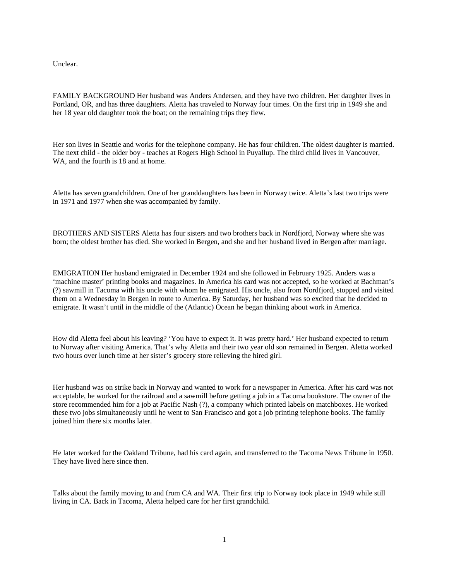Unclear.

FAMILY BACKGROUND Her husband was Anders Andersen, and they have two children. Her daughter lives in Portland, OR, and has three daughters. Aletta has traveled to Norway four times. On the first trip in 1949 she and her 18 year old daughter took the boat; on the remaining trips they flew.

Her son lives in Seattle and works for the telephone company. He has four children. The oldest daughter is married. The next child - the older boy - teaches at Rogers High School in Puyallup. The third child lives in Vancouver, WA, and the fourth is 18 and at home.

Aletta has seven grandchildren. One of her granddaughters has been in Norway twice. Aletta's last two trips were in 1971 and 1977 when she was accompanied by family.

BROTHERS AND SISTERS Aletta has four sisters and two brothers back in Nordfjord, Norway where she was born; the oldest brother has died. She worked in Bergen, and she and her husband lived in Bergen after marriage.

EMIGRATION Her husband emigrated in December 1924 and she followed in February 1925. Anders was a 'machine master' printing books and magazines. In America his card was not accepted, so he worked at Bachman's (?) sawmill in Tacoma with his uncle with whom he emigrated. His uncle, also from Nordfjord, stopped and visited them on a Wednesday in Bergen in route to America. By Saturday, her husband was so excited that he decided to emigrate. It wasn't until in the middle of the (Atlantic) Ocean he began thinking about work in America.

How did Aletta feel about his leaving? 'You have to expect it. It was pretty hard.' Her husband expected to return to Norway after visiting America. That's why Aletta and their two year old son remained in Bergen. Aletta worked two hours over lunch time at her sister's grocery store relieving the hired girl.

Her husband was on strike back in Norway and wanted to work for a newspaper in America. After his card was not acceptable, he worked for the railroad and a sawmill before getting a job in a Tacoma bookstore. The owner of the store recommended him for a job at Pacific Nash (?), a company which printed labels on matchboxes. He worked these two jobs simultaneously until he went to San Francisco and got a job printing telephone books. The family joined him there six months later.

He later worked for the Oakland Tribune, had his card again, and transferred to the Tacoma News Tribune in 1950. They have lived here since then.

Talks about the family moving to and from CA and WA. Their first trip to Norway took place in 1949 while still living in CA. Back in Tacoma, Aletta helped care for her first grandchild.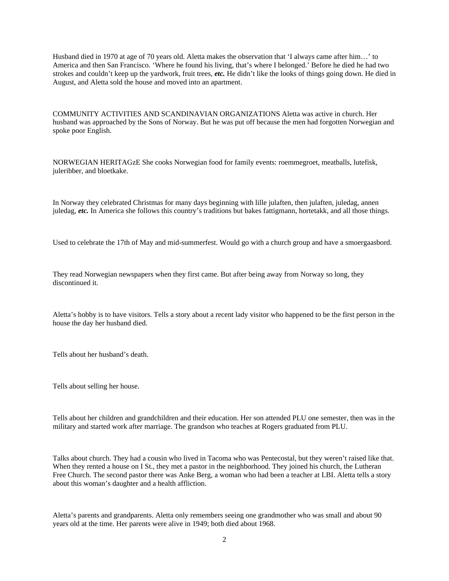Husband died in 1970 at age of 70 years old. Aletta makes the observation that 'I always came after him…' to America and then San Francisco. 'Where he found his living, that's where I belonged.' Before he died he had two strokes and couldn't keep up the yardwork, fruit trees, *etc.* He didn't like the looks of things going down. He died in August, and Aletta sold the house and moved into an apartment.

COMMUNITY ACTIVITIES AND SCANDINAVIAN ORGANIZATIONS Aletta was active in church. Her husband was approached by the Sons of Norway. But he was put off because the men had forgotten Norwegian and spoke poor English.

NORWEGIAN HERITAGzE She cooks Norwegian food for family events: roemmegroet, meatballs, lutefisk, juleribber, and bloetkake.

In Norway they celebrated Christmas for many days beginning with lille julaften, then julaften, juledag, annen juledag, *etc.* In America she follows this country's traditions but bakes fattigmann, hortetakk, and all those things.

Used to celebrate the 17th of May and mid-summerfest. Would go with a church group and have a smoergaasbord.

They read Norwegian newspapers when they first came. But after being away from Norway so long, they discontinued it.

Aletta's hobby is to have visitors. Tells a story about a recent lady visitor who happened to be the first person in the house the day her husband died.

Tells about her husband's death.

Tells about selling her house.

Tells about her children and grandchildren and their education. Her son attended PLU one semester, then was in the military and started work after marriage. The grandson who teaches at Rogers graduated from PLU.

Talks about church. They had a cousin who lived in Tacoma who was Pentecostal, but they weren't raised like that. When they rented a house on I St., they met a pastor in the neighborhood. They joined his church, the Lutheran Free Church. The second pastor there was Anke Berg, a woman who had been a teacher at LBI. Aletta tells a story about this woman's daughter and a health affliction.

Aletta's parents and grandparents. Aletta only remembers seeing one grandmother who was small and about 90 years old at the time. Her parents were alive in 1949; both died about 1968.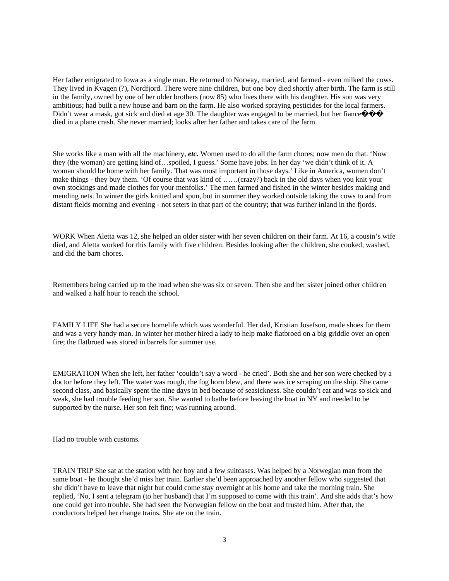Her father emigrated to Iowa as a single man. He returned to Norway, married, and farmed - even milked the cows. They lived in Kvagen (?), Nordfjord. There were nine children, but one boy died shortly after birth. The farm is still in the family, owned by one of her older brothers (now 85) who lives there with his daughter. His son was very ambitious; had built a new house and barn on the farm. He also worked spraying pesticides for the local farmers. Didn't wear a mask, got sick and died at age 30. The daughter was engaged to be married, but her fiance  $\Diamond \Diamond \Diamond$ died in a plane crash. She never married; looks after her father and takes care of the farm.

She works like a man with all the machinery, *etc.* Women used to do all the farm chores; now men do that. 'Now they (the woman) are getting kind of…spoiled, I guess.' Some have jobs. In her day 'we didn't think of it. A woman should be home with her family. That was most important in those days.' Like in America, women don't make things - they buy them. 'Of course that was kind of ……(crazy?) back in the old days when you knit your own stockings and made clothes for your menfolks.' The men farmed and fished in the winter besides making and mending nets. In winter the girls knitted and spun, but in summer they worked outside taking the cows to and from distant fields morning and evening - not seters in that part of the country; that was further inland in the fjords.

WORK When Aletta was 12, she helped an older sister with her seven children on their farm. At 16, a cousin's wife died, and Aletta worked for this family with five children. Besides looking after the children, she cooked, washed, and did the barn chores.

Remembers being carried up to the road when she was six or seven. Then she and her sister joined other children and walked a half hour to reach the school.

FAMILY LIFE She had a secure homelife which was wonderful. Her dad, Kristian Josefson, made shoes for them and was a very handy man. In winter her mother hired a lady to help make flatbroed on a big griddle over an open fire; the flatbroed was stored in barrels for summer use.

EMIGRATION When she left, her father 'couldn't say a word - he cried'. Both she and her son were checked by a doctor before they left. The water was rough, the fog horn blew, and there was ice scraping on the ship. She came second class, and basically spent the nine days in bed because of seasickness. She couldn't eat and was so sick and weak, she had trouble feeding her son. She wanted to bathe before leaving the boat in NY and needed to be supported by the nurse. Her son felt fine; was running around.

Had no trouble with customs.

TRAIN TRIP She sat at the station with her boy and a few suitcases. Was helped by a Norwegian man from the same boat - he thought she'd miss her train. Earlier she'd been approached by another fellow who suggested that she didn't have to leave that night but could come stay overnight at his home and take the morning train. She replied, 'No, I sent a telegram (to her husband) that I'm supposed to come with this train'. And she adds that's how one could get into trouble. She had seen the Norwegian fellow on the boat and trusted him. After that, the conductors helped her change trains. She ate on the train.